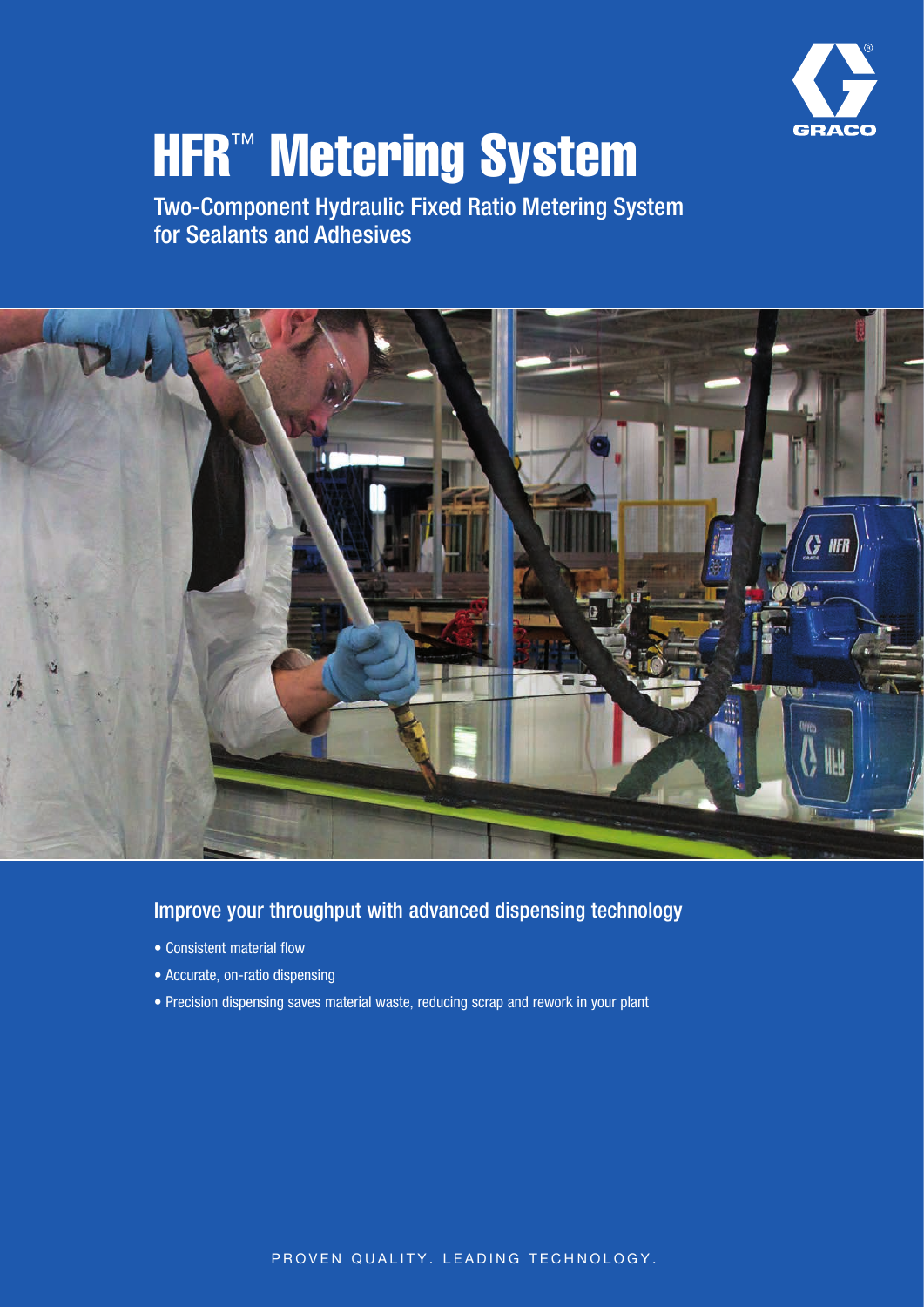

# **HFR™ Metering System**

Two-Component Hydraulic Fixed Ratio Metering System for Sealants and Adhesives



## Improve your throughput with advanced dispensing technology

- Consistent material flow
- Accurate, on-ratio dispensing
- Precision dispensing saves material waste, reducing scrap and rework in your plant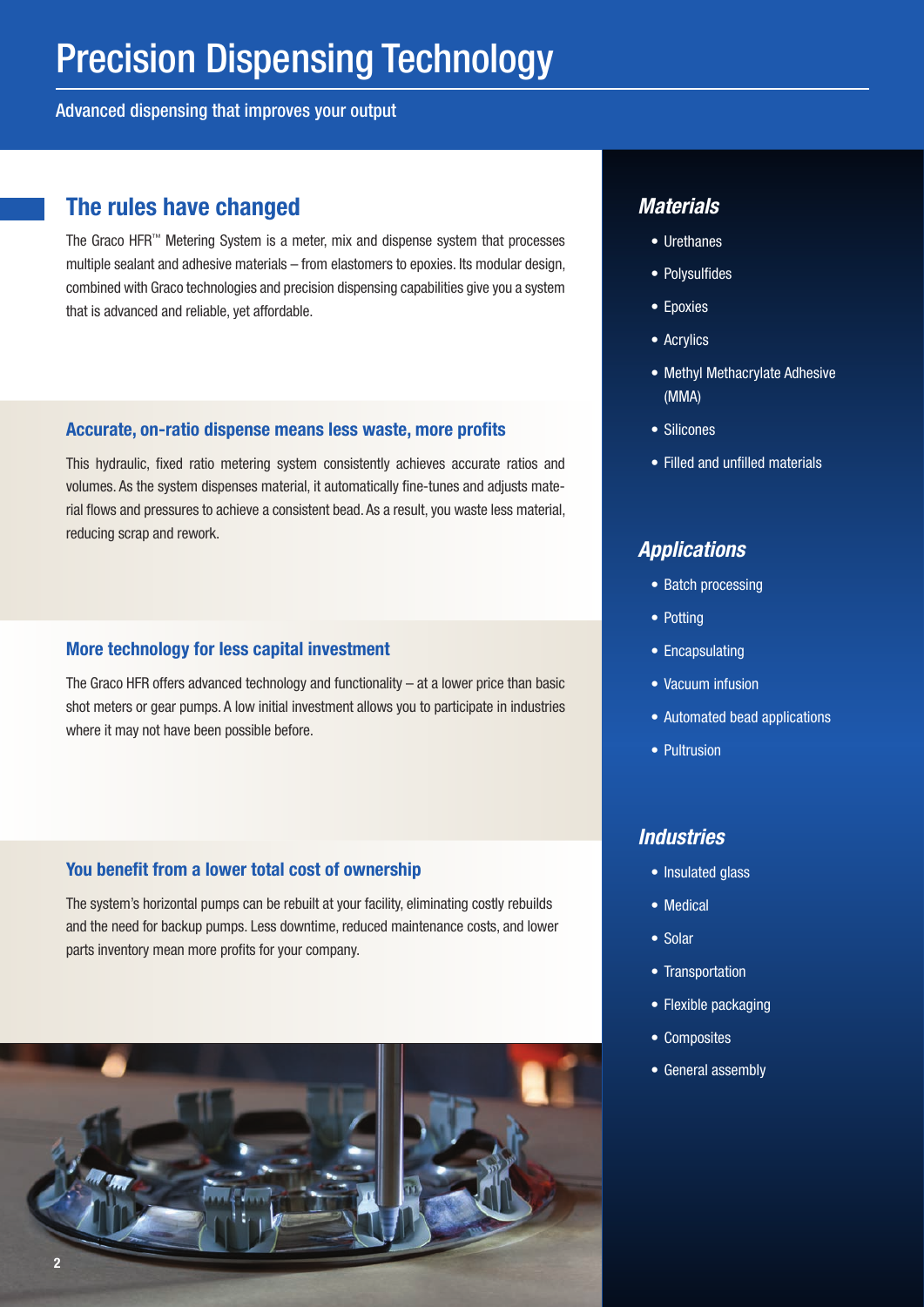Advanced dispensing that improves your output

## The rules have changed *Materials*

The Graco HFR™ Metering System is a meter, mix and dispense system that processes multiple sealant and adhesive materials – from elastomers to epoxies. Its modular design, combined with Graco technologies and precision dispensing capabilities give you a system that is advanced and reliable, yet affordable.

## Accurate, on-ratio dispense means less waste, more profits

This hydraulic, fixed ratio metering system consistently achieves accurate ratios and volumes. As the system dispenses material, it automatically fine-tunes and adjusts material flows and pressures to achieve a consistent bead. As a result, you waste less material, reducing scrap and rework.

## More technology for less capital investment

The Graco HFR offers advanced technology and functionality – at a lower price than basic shot meters or gear pumps. A low initial investment allows you to participate in industries where it may not have been possible before.

## You benefit from a lower total cost of ownership

The system's horizontal pumps can be rebuilt at your facility, eliminating costly rebuilds and the need for backup pumps. Less downtime, reduced maintenance costs, and lower parts inventory mean more profits for your company.



- Urethanes
- Polysulfides
- Epoxies
- Acrylics
- Methyl Methacrylate Adhesive (MMA)
- Silicones
- Filled and unfilled materials

## *Applications*

- Batch processing
- Potting
- Encapsulating
- Vacuum infusion
- Automated bead applications
- Pultrusion

## *Industries*

- Insulated glass
- Medical
- Solar
- Transportation
- Flexible packaging
- Composites
- General assembly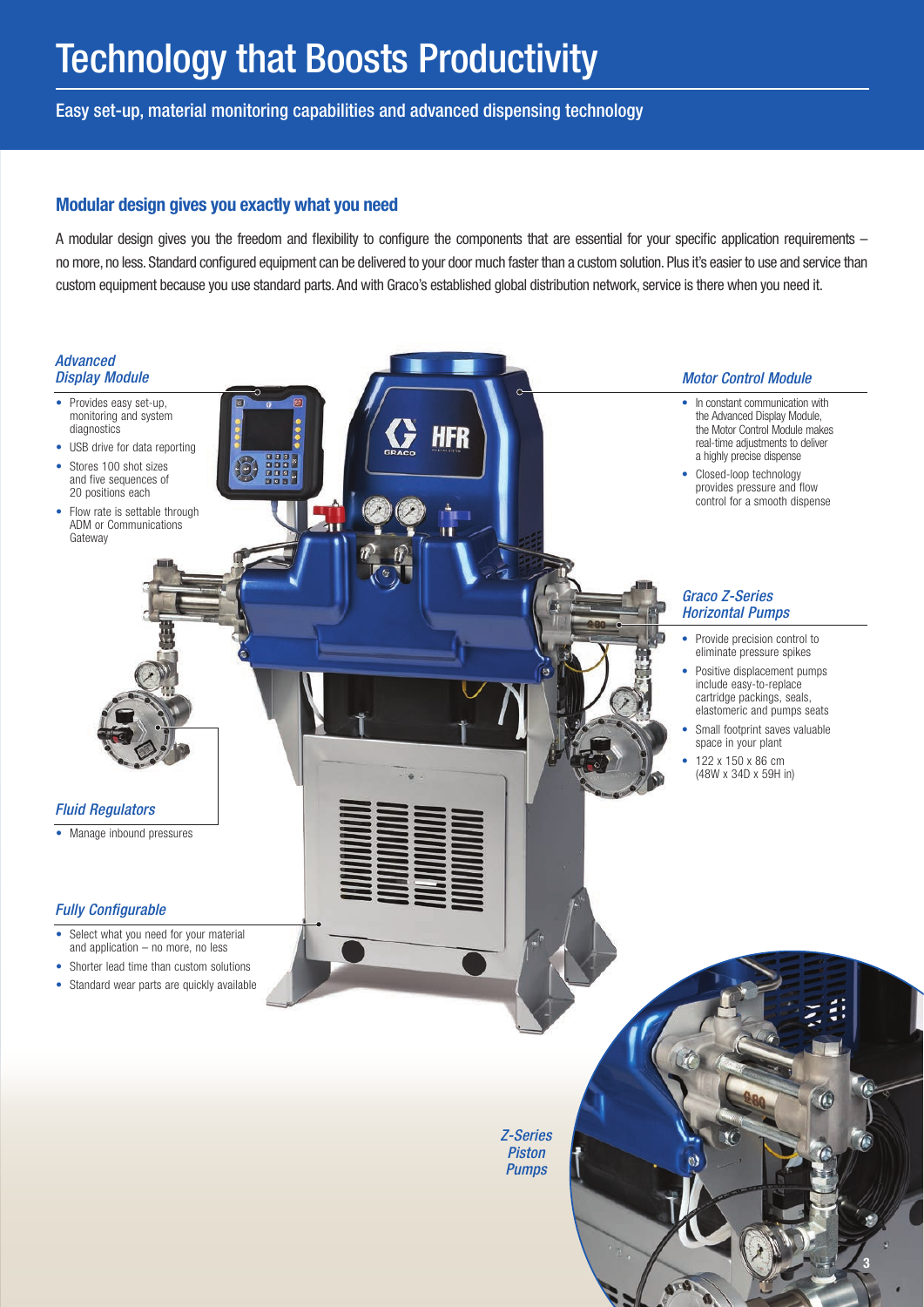Easy set-up, material monitoring capabilities and advanced dispensing technology

## Modular design gives you exactly what you need

A modular design gives you the freedom and flexibility to configure the components that are essential for your specific application requirements – no more, no less. Standard configured equipment can be delivered to your door much faster than a custom solution. Plus it's easier to use and service than custom equipment because you use standard parts. And with Graco's established global distribution network, service is there when you need it.

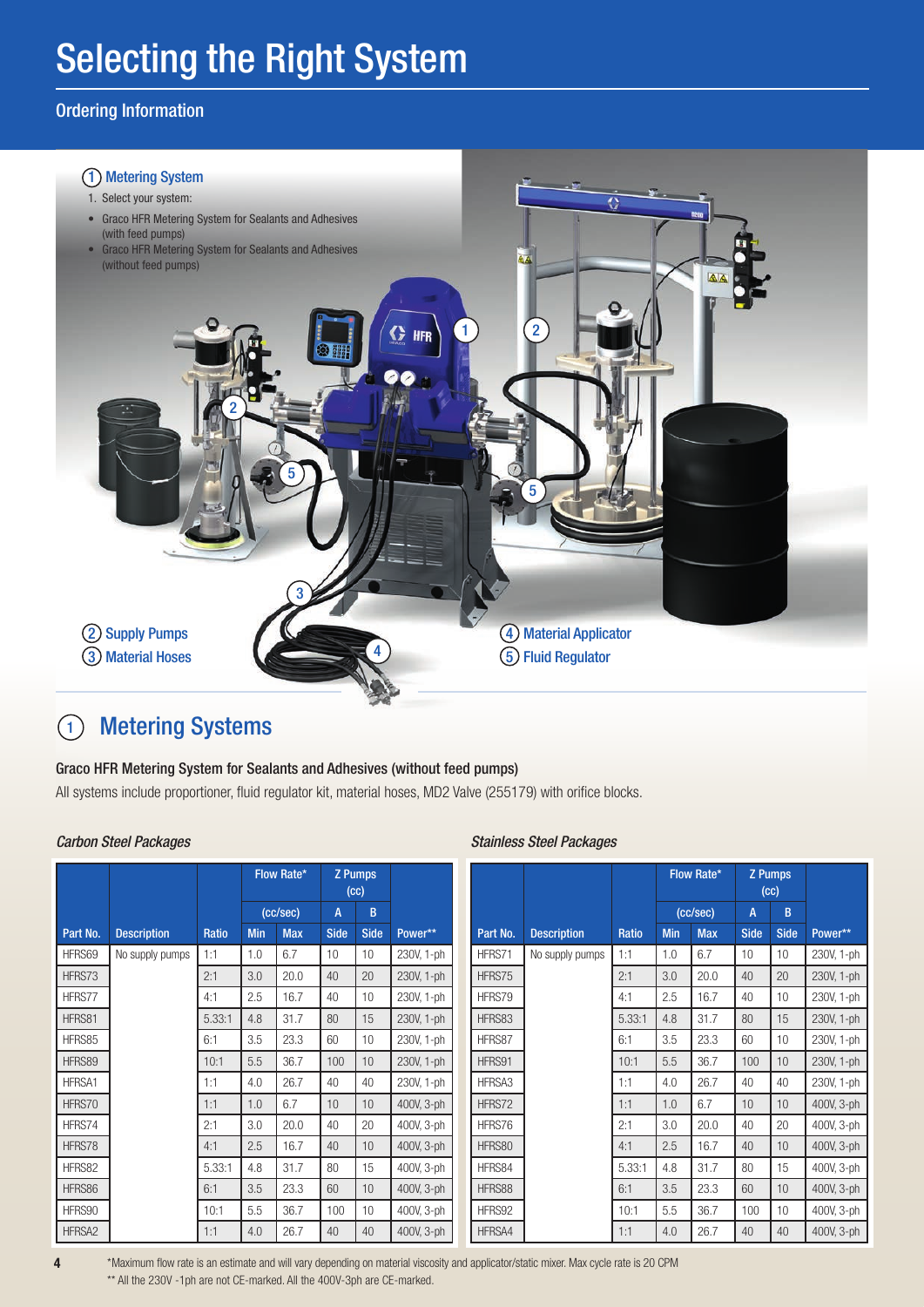# Selecting the Right System

## Ordering Information



### $\left( \begin{matrix} 1 \end{matrix} \right)$ Metering Systems

## Graco HFR Metering System for Sealants and Adhesives (without feed pumps)

All systems include proportioner, fluid regulator kit, material hoses, MD2 Valve (255179) with orifice blocks.

|               |                    |              |            | Flow Rate* |             | <b>Z</b> Pumps<br>(cc) |            |
|---------------|--------------------|--------------|------------|------------|-------------|------------------------|------------|
|               |                    |              |            | (cc/sec)   | A           | B                      |            |
| Part No.      | <b>Description</b> | <b>Ratio</b> | <b>Min</b> | <b>Max</b> | <b>Side</b> | <b>Side</b>            | Power**    |
| HFRS69        | No supply pumps    | 1:1          | 1.0        | 6.7        | 10          | 10                     | 230V, 1-ph |
| HFRS73        |                    | 2:1          | 3.0        | 20.0       | 40          | 20                     | 230V, 1-ph |
| HFRS77        |                    | 4:1          | 2.5        | 16.7       | 40          | 10                     | 230V, 1-ph |
| HFRS81        |                    | 5.33:1       | 4.8        | 31.7       | 80          | 15                     | 230V, 1-ph |
| HFRS85        |                    | 6:1          | 3.5        | 23.3       | 60          | 10                     | 230V, 1-ph |
| HFRS89        |                    | 10:1         | 5.5        | 36.7       | 100         | 10                     | 230V, 1-ph |
| <b>HFRSA1</b> |                    | 1:1          | 4.0        | 26.7       | 40          | 40                     | 230V, 1-ph |
| HFRS70        |                    | 1:1          | 1.0        | 6.7        | 10          | 10                     | 400V, 3-ph |
| HFRS74        |                    | 2:1          | 3.0        | 20.0       | 40          | 20                     | 400V, 3-ph |
| HFRS78        |                    | 4:1          | 2.5        | 16.7       | 40          | 10                     | 400V, 3-ph |
| HFRS82        |                    | 5.33:1       | 4.8        | 31.7       | 80          | 15                     | 400V, 3-ph |
| HFRS86        |                    | 6:1          | 3.5        | 23.3       | 60          | 10                     | 400V, 3-ph |
| HFRS90        |                    | 10:1         | 5.5        | 36.7       | 100         | 10                     | 400V, 3-ph |
| HFRSA2        |                    | 1:1          | 4.0        | 26.7       | 40          | 40                     | 400V, 3-ph |

## *Carbon Steel Packages Stainless Steel Packages*

|          |                    |              |            | Flow Rate* |             | <b>Z</b> Pumps<br>(cc) |            |
|----------|--------------------|--------------|------------|------------|-------------|------------------------|------------|
|          |                    |              |            | (cc/sec)   | A           | B                      |            |
| Part No. | <b>Description</b> | <b>Ratio</b> | <b>Min</b> | <b>Max</b> | <b>Side</b> | <b>Side</b>            | Power**    |
| HFRS71   | No supply pumps    | 1:1          | 1.0        | 6.7        | 10          | 10                     | 230V, 1-ph |
| HFRS75   |                    | 2:1          | 3.0        | 20.0       | 40          | 20                     | 230V, 1-ph |
| HFRS79   |                    | 4:1          | 2.5        | 16.7       | 40          | 10                     | 230V, 1-ph |
| HFRS83   |                    | 5.33:1       | 4.8        | 31.7       | 80          | 15                     | 230V, 1-ph |
| HFRS87   |                    | 6:1          | 3.5        | 23.3       | 60          | 10                     | 230V, 1-ph |
| HFRS91   |                    | 10:1         | 5.5        | 36.7       | 100         | 10                     | 230V, 1-ph |
| HFRSA3   |                    | 1:1          | 4.0        | 26.7       | 40          | 40                     | 230V, 1-ph |
| HFRS72   |                    | 1:1          | 1.0        | 6.7        | 10          | 10                     | 400V, 3-ph |
| HFRS76   |                    | 2:1          | 3.0        | 20.0       | 40          | 20                     | 400V, 3-ph |
| HFRS80   |                    | 4:1          | 2.5        | 16.7       | 40          | 10                     | 400V, 3-ph |
| HFRS84   |                    | 5.33:1       | 4.8        | 31.7       | 80          | 15                     | 400V, 3-ph |
| HFRS88   |                    | 6:1          | 3.5        | 23.3       | 60          | 10                     | 400V, 3-ph |
| HFRS92   |                    | 10:1         | 5.5        | 36.7       | 100         | 10                     | 400V, 3-ph |
| HFRSA4   |                    | 1:1          | 4.0        | 26.7       | 40          | 40                     | 400V, 3-ph |

\*Maximum flow rate is an estimate and will vary depending on material viscosity and applicator/static mixer. Max cycle rate is 20 CPM \*\* All the 230V -1ph are not CE-marked. All the 400V-3ph are CE-marked.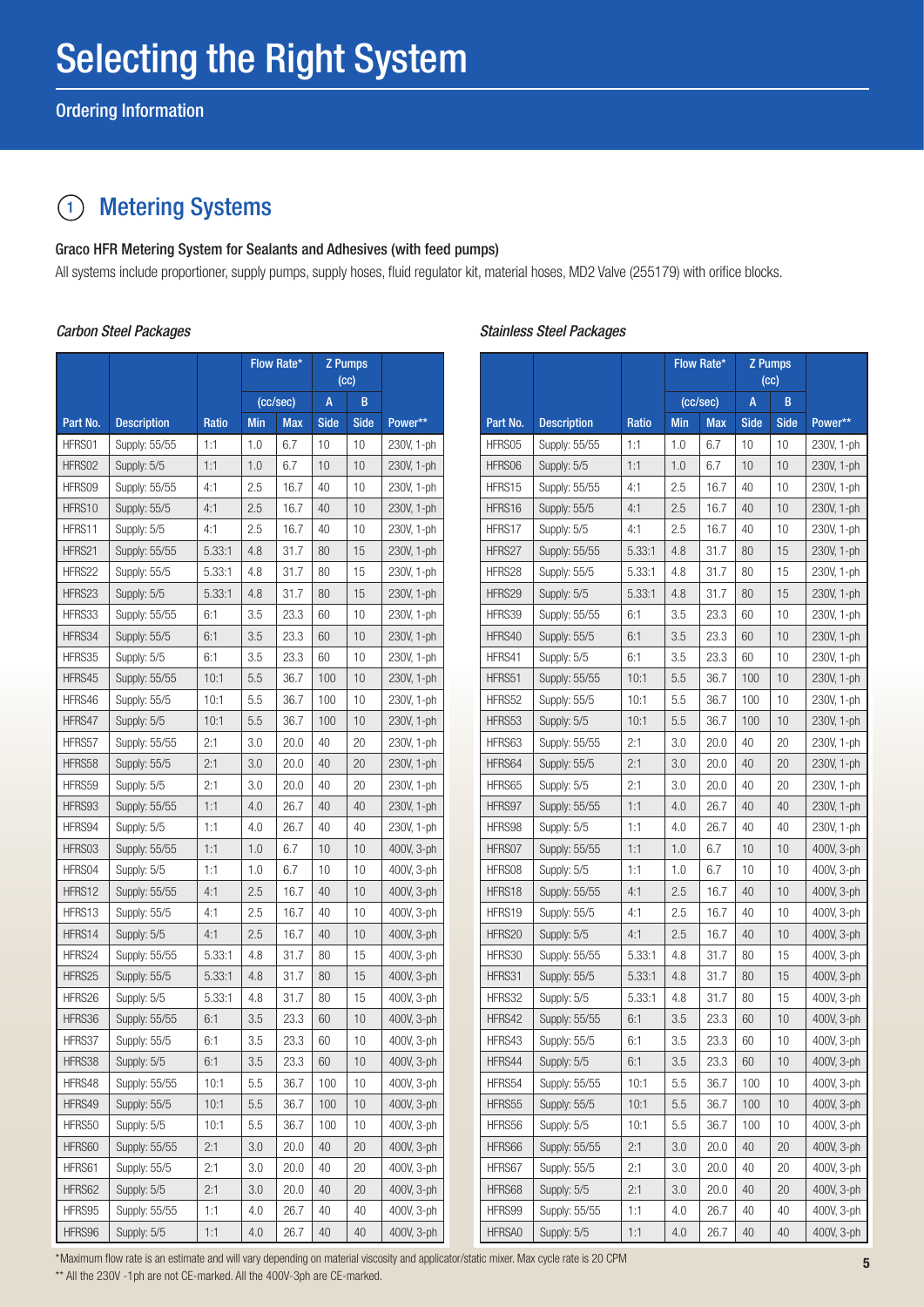#### $\left( 1\right)$ Metering Systems

## Graco HFR Metering System for Sealants and Adhesives (with feed pumps)

All systems include proportioner, supply pumps, supply hoses, fluid regulator kit, material hoses, MD2 Valve (255179) with orifice blocks.

|          |                    |        |            | Flow Rate* |                | <b>Z</b> Pumps |            |
|----------|--------------------|--------|------------|------------|----------------|----------------|------------|
|          |                    |        |            |            |                | (cc)           |            |
|          |                    |        |            | (cc/sec)   | $\overline{A}$ | B              |            |
| Part No. | <b>Description</b> | Ratio  | <b>Min</b> | <b>Max</b> | <b>Side</b>    | <b>Side</b>    | Power**    |
| HFRS01   | Supply: 55/55      | 1:1    | 1.0        | 6.7        | 10             | 10             | 230V, 1-ph |
| HFRS02   | Supply: 5/5        | 1:1    | 1.0        | 6.7        | 10             | 10             | 230V, 1-ph |
| HFRS09   | Supply: 55/55      | 4:1    | 2.5        | 16.7       | 40             | 10             | 230V, 1-ph |
| HFRS10   | Supply: 55/5       | 4:1    | 2.5        | 16.7       | 40             | 10             | 230V, 1-ph |
| HFRS11   | Supply: 5/5        | 4:1    | 2.5        | 16.7       | 40             | 10             | 230V, 1-ph |
| HFRS21   | Supply: 55/55      | 5.33:1 | 4.8        | 31.7       | 80             | 15             | 230V, 1-ph |
| HFRS22   | Supply: 55/5       | 5.33:1 | 4.8        | 31.7       | 80             | 15             | 230V, 1-ph |
| HFRS23   | Supply: 5/5        | 5.33:1 | 4.8        | 31.7       | 80             | 15             | 230V, 1-ph |
| HFRS33   | Supply: 55/55      | 6:1    | 3.5        | 23.3       | 60             | 10             | 230V, 1-ph |
| HFRS34   | Supply: 55/5       | 6:1    | 3.5        | 23.3       | 60             | 10             | 230V, 1-ph |
| HFRS35   | Supply: 5/5        | 6:1    | 3.5        | 23.3       | 60             | 10             | 230V, 1-ph |
| HFRS45   | Supply: 55/55      | 10:1   | 5.5        | 36.7       | 100            | 10             | 230V, 1-ph |
| HFRS46   | Supply: 55/5       | 10:1   | 5.5        | 36.7       | 100            | 10             | 230V, 1-ph |
| HFRS47   | Supply: 5/5        | 10:1   | 5.5        | 36.7       | 100            | 10             | 230V, 1-ph |
| HFRS57   | Supply: 55/55      | 2:1    | 3.0        | 20.0       | 40             | 20             | 230V, 1-ph |
| HFRS58   | Supply: 55/5       | 2:1    | 3.0        | 20.0       | 40             | 20             | 230V, 1-ph |
| HFRS59   | Supply: 5/5        | 2:1    | 3.0        | 20.0       | 40             | 20             | 230V, 1-ph |
| HFRS93   | Supply: 55/55      | 1:1    | 4.0        | 26.7       | 40             | 40             | 230V, 1-ph |
| HFRS94   | Supply: 5/5        | 1:1    | 4.0        | 26.7       | 40             | 40             | 230V, 1-ph |
| HFRS03   | Supply: 55/55      | 1:1    | 1.0        | 6.7        | 10             | 10             | 400V, 3-ph |
| HFRS04   | Supply: 5/5        | 1:1    | 1.0        | 6.7        | 10             | 10             | 400V, 3-ph |
| HFRS12   | Supply: 55/55      | 4:1    | 2.5        | 16.7       | 40             | 10             | 400V, 3-ph |
| HFRS13   | Supply: 55/5       | 4:1    | 2.5        | 16.7       | 40             | 10             | 400V, 3-ph |
| HFRS14   | Supply: 5/5        | 4:1    | 2.5        | 16.7       | 40             | 10             | 400V, 3-ph |
| HFRS24   | Supply: 55/55      | 5.33:1 | 4.8        | 31.7       | 80             | 15             | 400V, 3-ph |
| HFRS25   | Supply: 55/5       | 5.33:1 | 4.8        | 31.7       | 80             | 15             | 400V, 3-ph |
| HFRS26   | Supply: 5/5        | 5.33:1 | 4.8        | 31.7       | 80             | 15             | 400V, 3-ph |
| HFRS36   | Supply: 55/55      | 6:1    | 3.5        | 23.3       | 60             | 10             | 400V, 3-ph |
| HFRS37   | Supply: 55/5       | 6:1    | 3.5        | 23.3       | 60             | 10             | 400V, 3-ph |
| HFRS38   | Supply: 5/5        | 6:1    | 3.5        | 23.3       | 60             | 10             | 400V, 3-ph |
| HFRS48   | Supply: 55/55      | 10:1   | 5.5        | 36.7       | 100            | 10             | 400V, 3-ph |
| HFRS49   | Supply: 55/5       | 10:1   | 5.5        | 36.7       | 100            | 10             | 400V, 3-ph |
| HFRS50   | Supply: 5/5        | 10:1   | 5.5        | 36.7       | 100            | 10             | 400V, 3-ph |
| HFRS60   | Supply: 55/55      | 2:1    | 3.0        | 20.0       | 40             | 20             | 400V, 3-ph |
| HFRS61   | Supply: 55/5       | 2:1    | 3.0        | 20.0       | 40             | 20             | 400V, 3-ph |
| HFRS62   | Supply: 5/5        | 2:1    | 3.0        | 20.0       | 40             | 20             | 400V, 3-ph |
| HFRS95   | Supply: 55/55      | 1:1    | 4.0        | 26.7       | 40             | 40             | 400V, 3-ph |
| HFRS96   | Supply: 5/5        | 1:1    | 4.0        | 26.7       | 40             | 40             | 400V, 3-ph |

## *Carbon Steel Packages Stainless Steel Packages*

|          |                    |              |            | Flow Rate* | <b>Z</b> Pumps |             |            |
|----------|--------------------|--------------|------------|------------|----------------|-------------|------------|
|          |                    |              |            |            | (cc)           |             |            |
|          |                    |              |            | (cc/sec)   | $\overline{A}$ | B           |            |
| Part No. | <b>Description</b> | <b>Ratio</b> | <b>Min</b> | <b>Max</b> | <b>Side</b>    | <b>Side</b> | Power**    |
| HFRS05   | Supply: 55/55      | 1:1          | 1.0        | 6.7        | 10             | 10          | 230V, 1-ph |
| HFRS06   | Supply: 5/5        | 1:1          | 1.0        | 6.7        | 10             | 10          | 230V, 1-ph |
| HFRS15   | Supply: 55/55      | 4:1          | 2.5        | 16.7       | 40             | 10          | 230V, 1-ph |
| HFRS16   | Supply: 55/5       | 4:1          | 2.5        | 16.7       | 40             | 10          | 230V, 1-ph |
| HFRS17   | Supply: 5/5        | 4:1          | 2.5        | 16.7       | 40             | 10          | 230V, 1-ph |
| HFRS27   | Supply: 55/55      | 5.33:1       | 4.8        | 31.7       | 80             | 15          | 230V, 1-ph |
| HFRS28   | Supply: 55/5       | 5.33:1       | 4.8        | 31.7       | 80             | 15          | 230V, 1-ph |
| HFRS29   | Supply: 5/5        | 5.33:1       | 4.8        | 31.7       | 80             | 15          | 230V, 1-ph |
| HFRS39   | Supply: 55/55      | 6:1          | 3.5        | 23.3       | 60             | 10          | 230V, 1-ph |
| HFRS40   | Supply: 55/5       | 6:1          | 3.5        | 23.3       | 60             | 10          | 230V, 1-ph |
| HFRS41   | Supply: 5/5        | 6:1          | 3.5        | 23.3       | 60             | 10          | 230V, 1-ph |
| HFRS51   | Supply: 55/55      | 10:1         | 5.5        | 36.7       | 100            | 10          | 230V, 1-ph |
| HFRS52   | Supply: 55/5       | 10:1         | 5.5        | 36.7       | 100            | 10          | 230V, 1-ph |
| HFRS53   | Supply: 5/5        | 10:1         | 5.5        | 36.7       | 100            | 10          | 230V, 1-ph |
| HFRS63   | Supply: 55/55      | 2:1          | 3.0        | 20.0       | 40             | 20          | 230V, 1-ph |
| HFRS64   | Supply: 55/5       | 2:1          | 3.0        | 20.0       | 40             | 20          | 230V, 1-ph |
| HFRS65   | Supply: 5/5        | 2:1          | 3.0        | 20.0       | 40             | 20          | 230V, 1-ph |
| HFRS97   | Supply: 55/55      | 1:1          | 4.0        | 26.7       | 40             | 40          | 230V, 1-ph |
| HFRS98   | Supply: 5/5        | 1:1          | 4.0        | 26.7       | 40             | 40          | 230V, 1-ph |
| HFRS07   | Supply: 55/55      | 1:1          | 1.0        | 6.7        | 10             | 10          | 400V, 3-ph |
| HFRS08   | Supply: 5/5        | 1:1          | 1.0        | 6.7        | 10             | 10          | 400V, 3-ph |
| HFRS18   | Supply: 55/55      | 4:1          | 2.5        | 16.7       | 40             | 10          | 400V, 3-ph |
| HFRS19   | Supply: 55/5       | 4:1          | 2.5        | 16.7       | 40             | 10          | 400V, 3-ph |
| HFRS20   | Supply: 5/5        | 4:1          | 2.5        | 16.7       | 40             | 10          | 400V, 3-ph |
| HFRS30   | Supply: 55/55      | 5.33:1       | 4.8        | 31.7       | 80             | 15          | 400V, 3-ph |
| HFRS31   | Supply: 55/5       | 5.33:1       | 4.8        | 31.7       | 80             | 15          | 400V, 3-ph |
| HFRS32   | Supply: 5/5        | 5.33:1       | 4.8        | 31.7       | 80             | 15          | 400V, 3-ph |
| HFRS42   | Supply: 55/55      | 6:1          | 3.5        | 23.3       | 60             | 10          | 400V, 3-ph |
| HFRS43   | Supply: 55/5       | 6:1          | $3.5\,$    | 23.3       | 60             | 10          | 400V, 3-ph |
| HFRS44   | Supply: 5/5        | 6:1          | 3.5        | 23.3       | 60             | 10          | 400V, 3-ph |
| HFRS54   | Supply: 55/55      | 10:1         | 5.5        | 36.7       | 100            | 10          | 400V, 3-ph |
| HFRS55   | Supply: 55/5       | 10:1         | 5.5        | 36.7       | 100            | 10          | 400V, 3-ph |
| HFRS56   | Supply: 5/5        | 10:1         | 5.5        | 36.7       | 100            | 10          | 400V, 3-ph |
| HFRS66   | Supply: 55/55      | 2:1          | 3.0        | 20.0       | 40             | 20          | 400V, 3-ph |
| HFRS67   | Supply: 55/5       | 2:1          | 3.0        | 20.0       | 40             | 20          | 400V, 3-ph |
| HFRS68   | Supply: 5/5        | 2:1          | 3.0        | 20.0       | 40             | 20          | 400V, 3-ph |
| HFRS99   | Supply: 55/55      | 1:1          | 4.0        | 26.7       | 40             | 40          | 400V, 3-ph |
| HFRSA0   | Supply: 5/5        | 1:1          | 4.0        | 26.7       | 40             | 40          | 400V, 3-ph |

\*Maximum flow rate is an estimate and will vary depending on material viscosity and applicator/static mixer. Max cycle rate is 20 CPM

\*\* All the 230V -1ph are not CE-marked. All the 400V-3ph are CE-marked.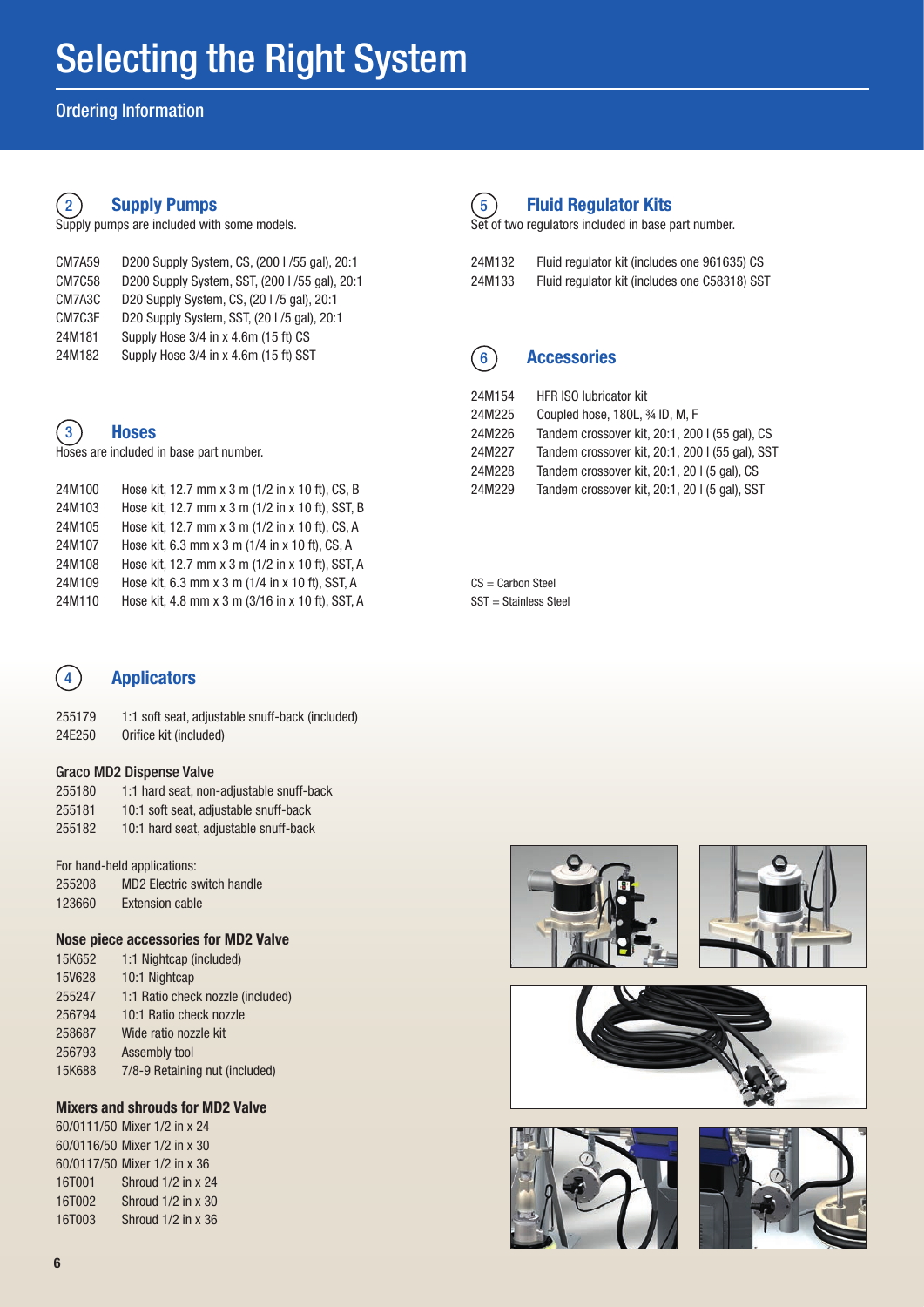## Ordering Information

#### $\left( 2\right)$ Supply Pumps

Supply pumps are included with some models.

| D200 Supply System, CS, (200 I /55 gal), 20:1<br>D200 Supply System, SST, (200 I /55 gal), 20:1 |
|-------------------------------------------------------------------------------------------------|
|                                                                                                 |
|                                                                                                 |
|                                                                                                 |
|                                                                                                 |
|                                                                                                 |

#### $\mathbf{3}$ **Hoses**

Hoses are included in base part number.

| 24M100 | Hose kit, 12.7 mm x 3 m (1/2 in x 10 ft), CS, B  |
|--------|--------------------------------------------------|
| 24M103 | Hose kit, 12.7 mm x 3 m (1/2 in x 10 ft), SST, B |
| 24M105 | Hose kit, 12.7 mm x 3 m (1/2 in x 10 ft), CS, A  |
| 24M107 | Hose kit, 6.3 mm x 3 m (1/4 in x 10 ft), CS, A   |
| 24M108 | Hose kit, 12.7 mm x 3 m (1/2 in x 10 ft), SST, A |
| 24M109 | Hose kit, 6.3 mm x 3 m (1/4 in x 10 ft), SST, A  |
| 24M110 | Hose kit, 4.8 mm x 3 m (3/16 in x 10 ft), SST, A |
|        |                                                  |

#### $(5)$ Fluid Regulator Kits

Set of two regulators included in base part number.

| 24M132 | Fluid regulator kit (includes one 961635) CS  |
|--------|-----------------------------------------------|
| 24M133 | Fluid regulator kit (includes one C58318) SST |

#### $(6)$ **Accessories**

| 24M154 | <b>HFR ISO lubricator kit</b>                   |
|--------|-------------------------------------------------|
| 24M225 | Coupled hose, 180L, 34 ID, M, F                 |
| 24M226 | Tandem crossover kit, 20:1, 200 I (55 gal), CS  |
| 24M227 | Tandem crossover kit, 20:1, 200 I (55 gal), SST |
| 24M228 | Tandem crossover kit, 20:1, 20 I (5 gal), CS    |
| 24M229 | Tandem crossover kit, 20:1, 20 I (5 gal), SST   |
|        |                                                 |

CS = Carbon Steel SST = Stainless Steel

#### $4$ Applicators

| 255179 | 1:1 soft seat, adjustable snuff-back (included) |
|--------|-------------------------------------------------|
| 24E250 | Orifice kit (included)                          |

## Graco MD2 Dispense Valve

| 255180 | 1:1 hard seat, non-adjustable snuff-back |
|--------|------------------------------------------|
| 255181 | 10:1 soft seat, adjustable snuff-back    |
| 255182 | 10:1 hard seat, adjustable snuff-back    |

| 255208 | MD2 Electric switch handle |
|--------|----------------------------|
| 123660 | <b>Extension cable</b>     |

### Nose piece accessories for MD2 Valve

| 15K652        | 1:1 Nightcap (included)           |
|---------------|-----------------------------------|
| <b>15V628</b> | 10:1 Nightcap                     |
| 255247        | 1:1 Ratio check nozzle (included) |
| 256794        | 10:1 Ratio check nozzle           |
| 258687        | Wide ratio nozzle kit             |
| 256793        | Assembly tool                     |
| 15K688        | 7/8-9 Retaining nut (included)    |

## Mixers and shrouds for MD2 Valve

60/0111/50 Mixer 1/2 in x 24 60/0116/50 Mixer 1/2 in x 30 60/0117/50 Mixer 1/2 in x 36 16T001 Shroud 1/2 in x 24 16T002 Shroud 1/2 in x 30 16T003 Shroud 1/2 in x 36







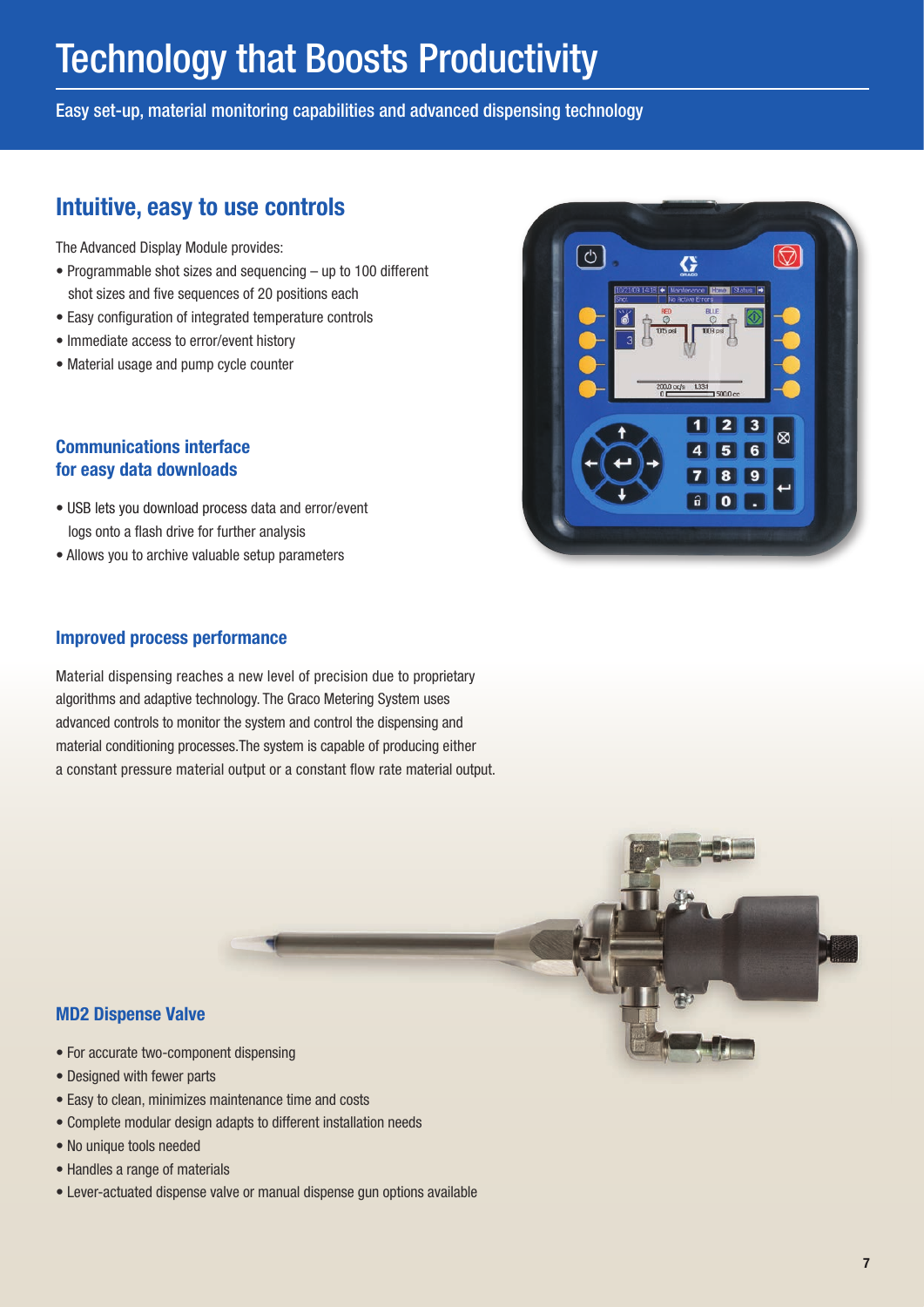# Technology that Boosts Productivity

Easy set-up, material monitoring capabilities and advanced dispensing technology

## Intuitive, easy to use controls

The Advanced Display Module provides:

- Programmable shot sizes and sequencing up to 100 different shot sizes and five sequences of 20 positions each
- Easy configuration of integrated temperature controls
- Immediate access to error/event history
- Material usage and pump cycle counter

## Communications interface for easy data downloads

- USB lets you download process data and error/event logs onto a flash drive for further analysis
- Allows you to archive valuable setup parameters

## Improved process performance

Material dispensing reaches a new level of precision due to proprietary algorithms and adaptive technology. The Graco Metering System uses advanced controls to monitor the system and control the dispensing and material conditioning processes.The system is capable of producing either a constant pressure material output or a constant flow rate material output.





- For accurate two-component dispensing
- Designed with fewer parts
- Easy to clean, minimizes maintenance time and costs
- Complete modular design adapts to different installation needs
- No unique tools needed
- Handles a range of materials
- Lever-actuated dispense valve or manual dispense gun options available